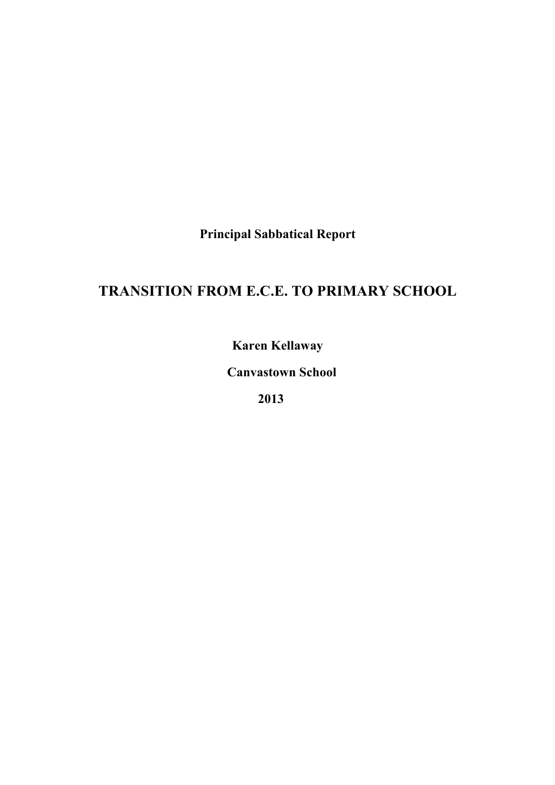**Principal Sabbatical Report**

# **TRANSITION FROM E.C.E. TO PRIMARY SCHOOL**

**Karen Kellaway**

 **Canvastown School**

 **2013**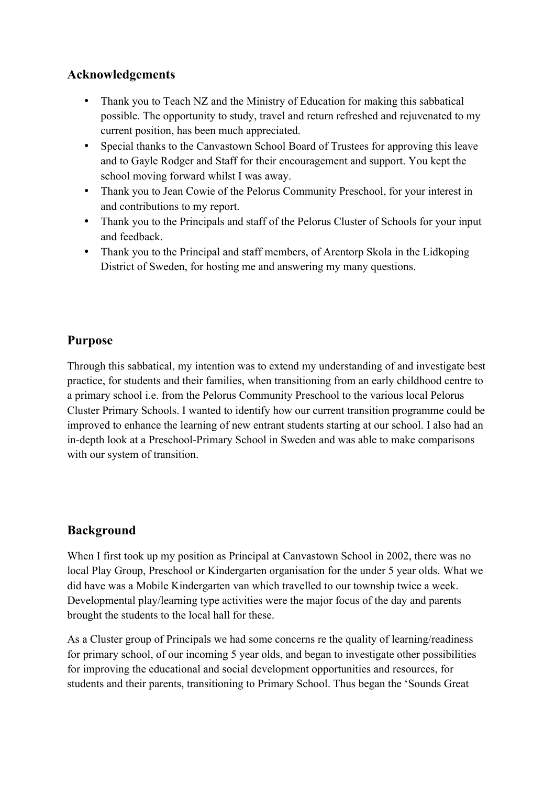### **Acknowledgements**

- Thank you to Teach NZ and the Ministry of Education for making this sabbatical possible. The opportunity to study, travel and return refreshed and rejuvenated to my current position, has been much appreciated.
- Special thanks to the Canvastown School Board of Trustees for approving this leave and to Gayle Rodger and Staff for their encouragement and support. You kept the school moving forward whilst I was away.
- Thank you to Jean Cowie of the Pelorus Community Preschool, for your interest in and contributions to my report.
- Thank you to the Principals and staff of the Pelorus Cluster of Schools for your input and feedback.
- Thank you to the Principal and staff members, of Arentorp Skola in the Lidkoping District of Sweden, for hosting me and answering my many questions.

### **Purpose**

Through this sabbatical, my intention was to extend my understanding of and investigate best practice, for students and their families, when transitioning from an early childhood centre to a primary school i.e. from the Pelorus Community Preschool to the various local Pelorus Cluster Primary Schools. I wanted to identify how our current transition programme could be improved to enhance the learning of new entrant students starting at our school. I also had an in-depth look at a Preschool-Primary School in Sweden and was able to make comparisons with our system of transition.

## **Background**

When I first took up my position as Principal at Canvastown School in 2002, there was no local Play Group, Preschool or Kindergarten organisation for the under 5 year olds. What we did have was a Mobile Kindergarten van which travelled to our township twice a week. Developmental play/learning type activities were the major focus of the day and parents brought the students to the local hall for these.

As a Cluster group of Principals we had some concerns re the quality of learning/readiness for primary school, of our incoming 5 year olds, and began to investigate other possibilities for improving the educational and social development opportunities and resources, for students and their parents, transitioning to Primary School. Thus began the 'Sounds Great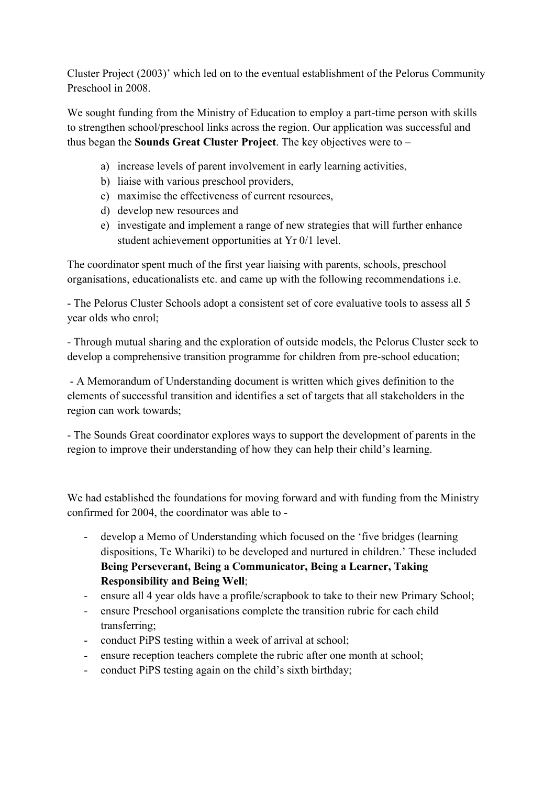Cluster Project (2003)' which led on to the eventual establishment of the Pelorus Community Preschool in 2008.

We sought funding from the Ministry of Education to employ a part-time person with skills to strengthen school/preschool links across the region. Our application was successful and thus began the **Sounds Great Cluster Project**. The key objectives were to –

- a) increase levels of parent involvement in early learning activities,
- b) liaise with various preschool providers,
- c) maximise the effectiveness of current resources,
- d) develop new resources and
- e) investigate and implement a range of new strategies that will further enhance student achievement opportunities at Yr 0/1 level.

The coordinator spent much of the first year liaising with parents, schools, preschool organisations, educationalists etc. and came up with the following recommendations i.e.

- The Pelorus Cluster Schools adopt a consistent set of core evaluative tools to assess all 5 year olds who enrol;

- Through mutual sharing and the exploration of outside models, the Pelorus Cluster seek to develop a comprehensive transition programme for children from pre-school education;

- A Memorandum of Understanding document is written which gives definition to the elements of successful transition and identifies a set of targets that all stakeholders in the region can work towards;

- The Sounds Great coordinator explores ways to support the development of parents in the region to improve their understanding of how they can help their child's learning.

We had established the foundations for moving forward and with funding from the Ministry confirmed for 2004, the coordinator was able to -

- develop a Memo of Understanding which focused on the 'five bridges (learning dispositions, Te Whariki) to be developed and nurtured in children.' These included **Being Perseverant, Being a Communicator, Being a Learner, Taking Responsibility and Being Well**;
- ensure all 4 year olds have a profile/scrapbook to take to their new Primary School;
- ensure Preschool organisations complete the transition rubric for each child transferring;
- conduct PiPS testing within a week of arrival at school;
- ensure reception teachers complete the rubric after one month at school;
- conduct PiPS testing again on the child's sixth birthday;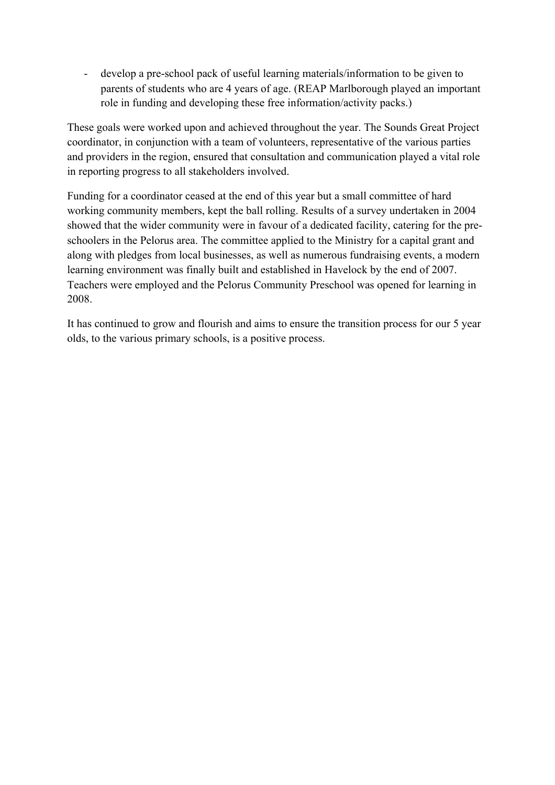- develop a pre-school pack of useful learning materials/information to be given to parents of students who are 4 years of age. (REAP Marlborough played an important role in funding and developing these free information/activity packs.)

These goals were worked upon and achieved throughout the year. The Sounds Great Project coordinator, in conjunction with a team of volunteers, representative of the various parties and providers in the region, ensured that consultation and communication played a vital role in reporting progress to all stakeholders involved.

Funding for a coordinator ceased at the end of this year but a small committee of hard working community members, kept the ball rolling. Results of a survey undertaken in 2004 showed that the wider community were in favour of a dedicated facility, catering for the preschoolers in the Pelorus area. The committee applied to the Ministry for a capital grant and along with pledges from local businesses, as well as numerous fundraising events, a modern learning environment was finally built and established in Havelock by the end of 2007. Teachers were employed and the Pelorus Community Preschool was opened for learning in 2008.

It has continued to grow and flourish and aims to ensure the transition process for our 5 year olds, to the various primary schools, is a positive process.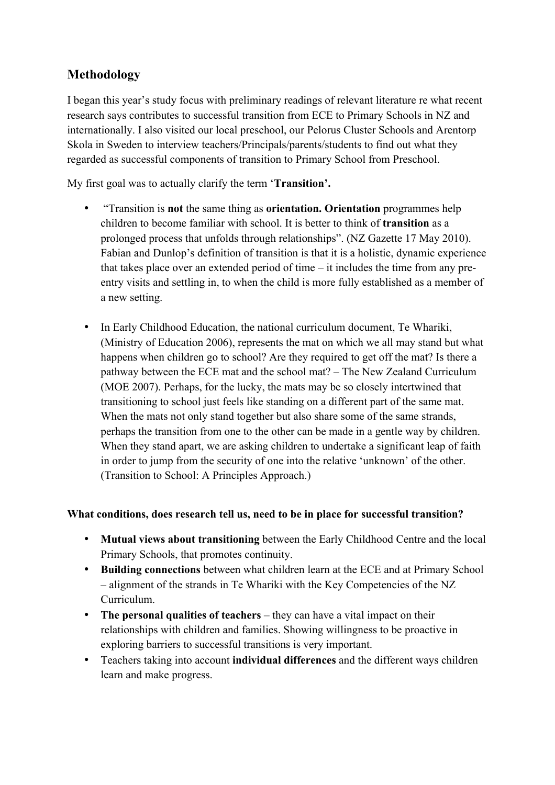## **Methodology**

I began this year's study focus with preliminary readings of relevant literature re what recent research says contributes to successful transition from ECE to Primary Schools in NZ and internationally. I also visited our local preschool, our Pelorus Cluster Schools and Arentorp Skola in Sweden to interview teachers/Principals/parents/students to find out what they regarded as successful components of transition to Primary School from Preschool.

My first goal was to actually clarify the term '**Transition'.**

- "Transition is **not** the same thing as **orientation. Orientation** programmes help children to become familiar with school. It is better to think of **transition** as a prolonged process that unfolds through relationships". (NZ Gazette 17 May 2010). Fabian and Dunlop's definition of transition is that it is a holistic, dynamic experience that takes place over an extended period of time – it includes the time from any preentry visits and settling in, to when the child is more fully established as a member of a new setting.
- In Early Childhood Education, the national curriculum document, Te Whariki, (Ministry of Education 2006), represents the mat on which we all may stand but what happens when children go to school? Are they required to get off the mat? Is there a pathway between the ECE mat and the school mat? – The New Zealand Curriculum (MOE 2007). Perhaps, for the lucky, the mats may be so closely intertwined that transitioning to school just feels like standing on a different part of the same mat. When the mats not only stand together but also share some of the same strands, perhaps the transition from one to the other can be made in a gentle way by children. When they stand apart, we are asking children to undertake a significant leap of faith in order to jump from the security of one into the relative 'unknown' of the other. (Transition to School: A Principles Approach.)

#### **What conditions, does research tell us, need to be in place for successful transition?**

- **Mutual views about transitioning** between the Early Childhood Centre and the local Primary Schools, that promotes continuity.
- **Building connections** between what children learn at the ECE and at Primary School – alignment of the strands in Te Whariki with the Key Competencies of the NZ Curriculum.
- **The personal qualities of teachers** they can have a vital impact on their relationships with children and families. Showing willingness to be proactive in exploring barriers to successful transitions is very important.
- Teachers taking into account **individual differences** and the different ways children learn and make progress.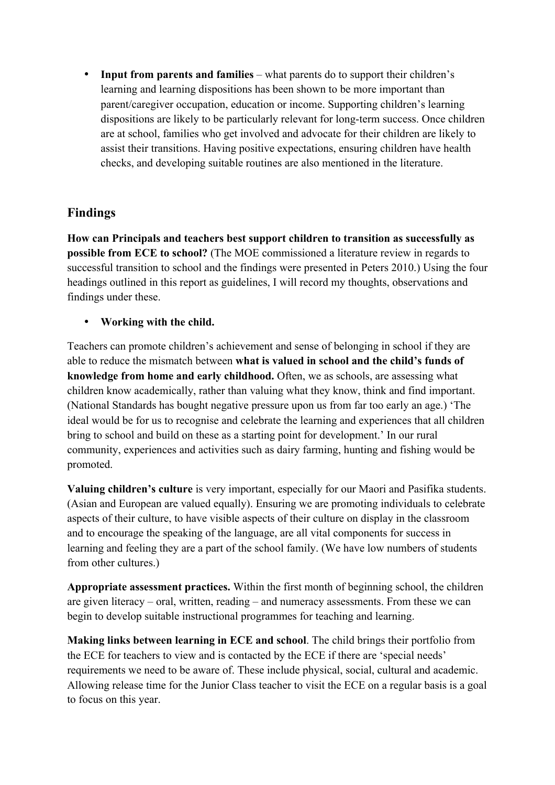• **Input from parents and families** – what parents do to support their children's learning and learning dispositions has been shown to be more important than parent/caregiver occupation, education or income. Supporting children's learning dispositions are likely to be particularly relevant for long-term success. Once children are at school, families who get involved and advocate for their children are likely to assist their transitions. Having positive expectations, ensuring children have health checks, and developing suitable routines are also mentioned in the literature.

## **Findings**

**How can Principals and teachers best support children to transition as successfully as possible from ECE to school?** (The MOE commissioned a literature review in regards to successful transition to school and the findings were presented in Peters 2010.) Using the four headings outlined in this report as guidelines, I will record my thoughts, observations and findings under these.

• **Working with the child.**

Teachers can promote children's achievement and sense of belonging in school if they are able to reduce the mismatch between **what is valued in school and the child's funds of knowledge from home and early childhood.** Often, we as schools, are assessing what children know academically, rather than valuing what they know, think and find important. (National Standards has bought negative pressure upon us from far too early an age.) 'The ideal would be for us to recognise and celebrate the learning and experiences that all children bring to school and build on these as a starting point for development.' In our rural community, experiences and activities such as dairy farming, hunting and fishing would be promoted.

**Valuing children's culture** is very important, especially for our Maori and Pasifika students. (Asian and European are valued equally). Ensuring we are promoting individuals to celebrate aspects of their culture, to have visible aspects of their culture on display in the classroom and to encourage the speaking of the language, are all vital components for success in learning and feeling they are a part of the school family. (We have low numbers of students from other cultures.)

**Appropriate assessment practices.** Within the first month of beginning school, the children are given literacy – oral, written, reading – and numeracy assessments. From these we can begin to develop suitable instructional programmes for teaching and learning.

**Making links between learning in ECE and school**. The child brings their portfolio from the ECE for teachers to view and is contacted by the ECE if there are 'special needs' requirements we need to be aware of. These include physical, social, cultural and academic. Allowing release time for the Junior Class teacher to visit the ECE on a regular basis is a goal to focus on this year.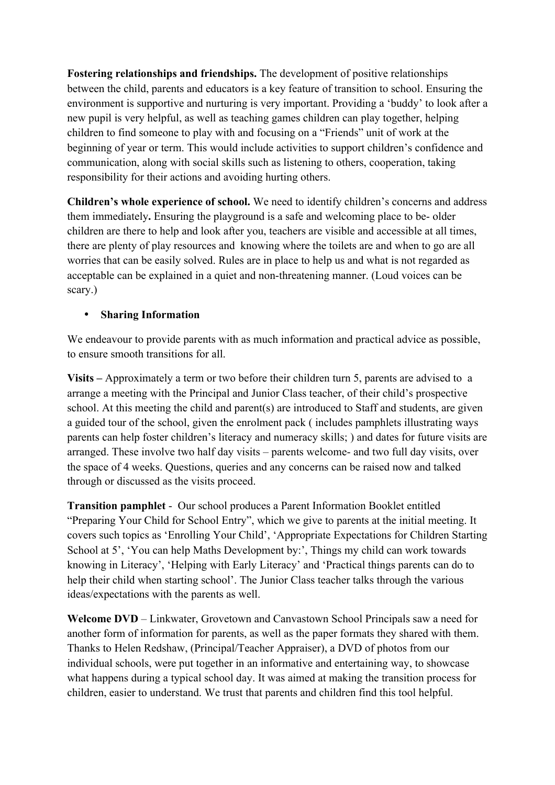**Fostering relationships and friendships.** The development of positive relationships between the child, parents and educators is a key feature of transition to school. Ensuring the environment is supportive and nurturing is very important. Providing a 'buddy' to look after a new pupil is very helpful, as well as teaching games children can play together, helping children to find someone to play with and focusing on a "Friends" unit of work at the beginning of year or term. This would include activities to support children's confidence and communication, along with social skills such as listening to others, cooperation, taking responsibility for their actions and avoiding hurting others.

**Children's whole experience of school.** We need to identify children's concerns and address them immediately**.** Ensuring the playground is a safe and welcoming place to be- older children are there to help and look after you, teachers are visible and accessible at all times, there are plenty of play resources and knowing where the toilets are and when to go are all worries that can be easily solved. Rules are in place to help us and what is not regarded as acceptable can be explained in a quiet and non-threatening manner. (Loud voices can be scary.)

#### • **Sharing Information**

We endeavour to provide parents with as much information and practical advice as possible, to ensure smooth transitions for all.

**Visits –** Approximately a term or two before their children turn 5, parents are advised to a arrange a meeting with the Principal and Junior Class teacher, of their child's prospective school. At this meeting the child and parent(s) are introduced to Staff and students, are given a guided tour of the school, given the enrolment pack ( includes pamphlets illustrating ways parents can help foster children's literacy and numeracy skills; ) and dates for future visits are arranged. These involve two half day visits – parents welcome- and two full day visits, over the space of 4 weeks. Questions, queries and any concerns can be raised now and talked through or discussed as the visits proceed.

**Transition pamphlet** - Our school produces a Parent Information Booklet entitled "Preparing Your Child for School Entry", which we give to parents at the initial meeting. It covers such topics as 'Enrolling Your Child', 'Appropriate Expectations for Children Starting School at 5', 'You can help Maths Development by:', Things my child can work towards knowing in Literacy', 'Helping with Early Literacy' and 'Practical things parents can do to help their child when starting school'. The Junior Class teacher talks through the various ideas/expectations with the parents as well.

**Welcome DVD** – Linkwater, Grovetown and Canvastown School Principals saw a need for another form of information for parents, as well as the paper formats they shared with them. Thanks to Helen Redshaw, (Principal/Teacher Appraiser), a DVD of photos from our individual schools, were put together in an informative and entertaining way, to showcase what happens during a typical school day. It was aimed at making the transition process for children, easier to understand. We trust that parents and children find this tool helpful.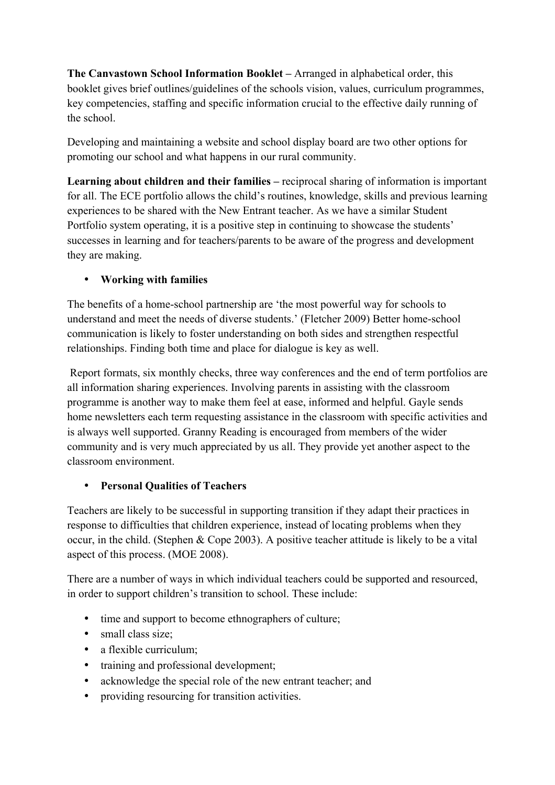**The Canvastown School Information Booklet –** Arranged in alphabetical order, this booklet gives brief outlines/guidelines of the schools vision, values, curriculum programmes, key competencies, staffing and specific information crucial to the effective daily running of the school.

Developing and maintaining a website and school display board are two other options for promoting our school and what happens in our rural community.

**Learning about children and their families –** reciprocal sharing of information is important for all. The ECE portfolio allows the child's routines, knowledge, skills and previous learning experiences to be shared with the New Entrant teacher. As we have a similar Student Portfolio system operating, it is a positive step in continuing to showcase the students' successes in learning and for teachers/parents to be aware of the progress and development they are making.

### • **Working with families**

The benefits of a home-school partnership are 'the most powerful way for schools to understand and meet the needs of diverse students.' (Fletcher 2009) Better home-school communication is likely to foster understanding on both sides and strengthen respectful relationships. Finding both time and place for dialogue is key as well.

Report formats, six monthly checks, three way conferences and the end of term portfolios are all information sharing experiences. Involving parents in assisting with the classroom programme is another way to make them feel at ease, informed and helpful. Gayle sends home newsletters each term requesting assistance in the classroom with specific activities and is always well supported. Granny Reading is encouraged from members of the wider community and is very much appreciated by us all. They provide yet another aspect to the classroom environment.

#### • **Personal Qualities of Teachers**

Teachers are likely to be successful in supporting transition if they adapt their practices in response to difficulties that children experience, instead of locating problems when they occur, in the child. (Stephen & Cope 2003). A positive teacher attitude is likely to be a vital aspect of this process. (MOE 2008).

There are a number of ways in which individual teachers could be supported and resourced, in order to support children's transition to school. These include:

- time and support to become ethnographers of culture;
- small class size;
- a flexible curriculum;
- training and professional development;
- acknowledge the special role of the new entrant teacher; and
- providing resourcing for transition activities.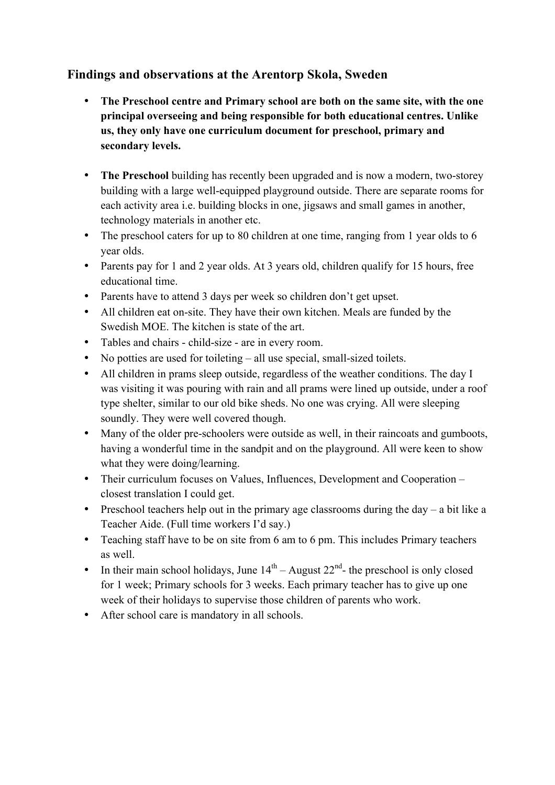## **Findings and observations at the Arentorp Skola, Sweden**

- **The Preschool centre and Primary school are both on the same site, with the one principal overseeing and being responsible for both educational centres. Unlike us, they only have one curriculum document for preschool, primary and secondary levels.**
- **The Preschool** building has recently been upgraded and is now a modern, two-storey building with a large well-equipped playground outside. There are separate rooms for each activity area i.e. building blocks in one, jigsaws and small games in another, technology materials in another etc.
- The preschool caters for up to 80 children at one time, ranging from 1 year olds to 6 year olds.
- Parents pay for 1 and 2 year olds. At 3 years old, children qualify for 15 hours, free educational time.
- Parents have to attend 3 days per week so children don't get upset.
- All children eat on-site. They have their own kitchen. Meals are funded by the Swedish MOE. The kitchen is state of the art.
- Tables and chairs child-size are in every room.
- No potties are used for toileting all use special, small-sized toilets.
- All children in prams sleep outside, regardless of the weather conditions. The day I was visiting it was pouring with rain and all prams were lined up outside, under a roof type shelter, similar to our old bike sheds. No one was crying. All were sleeping soundly. They were well covered though.
- Many of the older pre-schoolers were outside as well, in their raincoats and gumboots, having a wonderful time in the sandpit and on the playground. All were keen to show what they were doing/learning.
- Their curriculum focuses on Values, Influences, Development and Cooperation closest translation I could get.
- Preschool teachers help out in the primary age classrooms during the day  $-$  a bit like a Teacher Aide. (Full time workers I'd say.)
- Teaching staff have to be on site from 6 am to 6 pm. This includes Primary teachers as well.
- In their main school holidays, June  $14<sup>th</sup>$  August  $22<sup>nd</sup>$  the preschool is only closed for 1 week; Primary schools for 3 weeks. Each primary teacher has to give up one week of their holidays to supervise those children of parents who work.
- After school care is mandatory in all schools.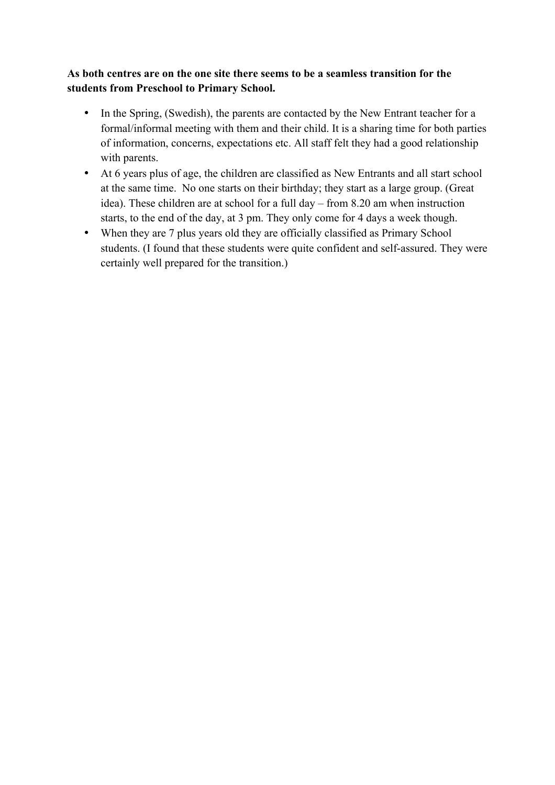#### **As both centres are on the one site there seems to be a seamless transition for the students from Preschool to Primary School.**

- In the Spring, (Swedish), the parents are contacted by the New Entrant teacher for a formal/informal meeting with them and their child. It is a sharing time for both parties of information, concerns, expectations etc. All staff felt they had a good relationship with parents.
- At 6 years plus of age, the children are classified as New Entrants and all start school at the same time. No one starts on their birthday; they start as a large group. (Great idea). These children are at school for a full day – from 8.20 am when instruction starts, to the end of the day, at 3 pm. They only come for 4 days a week though.
- When they are 7 plus years old they are officially classified as Primary School students. (I found that these students were quite confident and self-assured. They were certainly well prepared for the transition.)